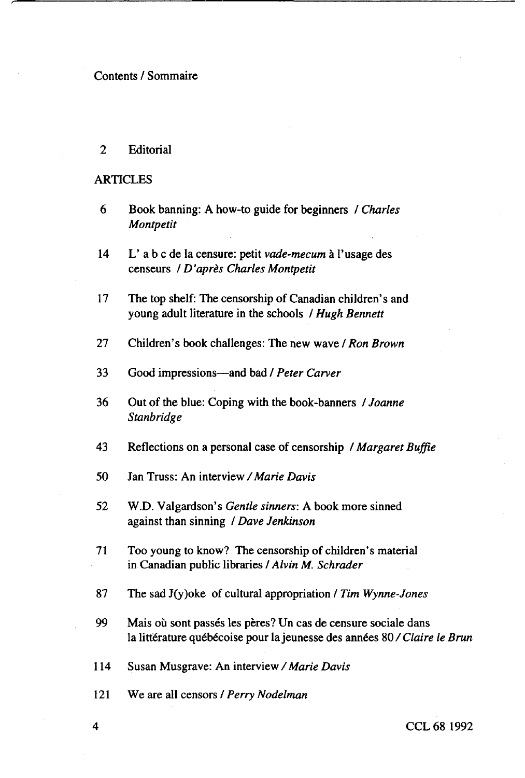## Contents / Sommaire

2 Editorial

## **ARTICLES**

- 6 Book banning: A how-to guide for beginners / *Charles Montpetit*
- 14 L' a b c de la censure: petit *vade-mecum* a 1'usage des censeurs / *D'apres Charles Montpetit*
- 17 The top shelf: The censorship of Canadian children's and young adult literature in the schools / *Hugh Bennett*
- 27 Children's book challenges: The new wave / *Ron Brown*
- 33 Good impressions—and bad / *Peter Carver*
- 36 Out of the blue: Coping with the book-banners / *Joanne Stanbridge*
- 43 Reflections on a personal case of censorship / *Margaret Buffie*
- 50 Jan Truss: An interview */Marie Davis*
- 52 W.D. Valgardson's *Gentle sinners:* A book more sinned against than sinning / *Dave Jenkinson*
- 71 Too young to know? The censorship of children's material in Canadian public libraries / *Alvin M. Schrader*
- 87 The sad J(y)oke of cultural appropriation / *Tim Wynne-Jones*
- 99 Mais où sont passés les pères? Un cas de censure sociale dans la littérature québécoise pour la jeunesse des années 80/Claire le Brun
- *1*14 Susan Musgrave: An interview */Marie Davis*
- 121 We are all censors / *Perry Nodelman*